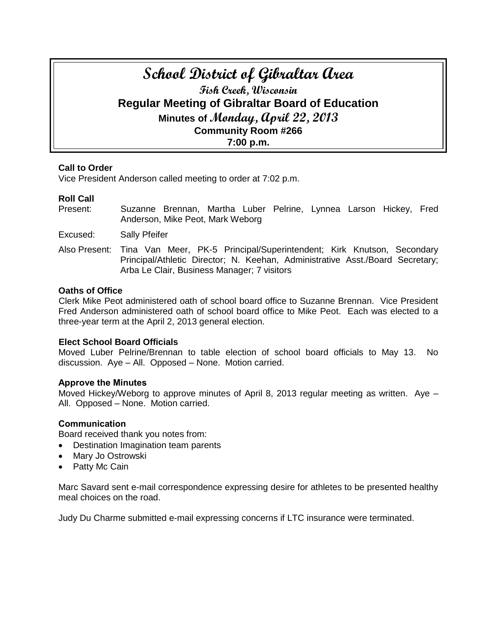# **School District of Gibraltar Area Fish Creek, Wisconsin Regular Meeting of Gibraltar Board of Education Minutes of Monday, April 22, 2013 Community Room #266 7:00 p.m.**

# **Call to Order**

Vice President Anderson called meeting to order at 7:02 p.m.

# **Roll Call**

- Present: Suzanne Brennan, Martha Luber Pelrine, Lynnea Larson Hickey, Fred Anderson, Mike Peot, Mark Weborg
- Excused: Sally Pfeifer
- Also Present: Tina Van Meer, PK-5 Principal/Superintendent; Kirk Knutson, Secondary Principal/Athletic Director; N. Keehan, Administrative Asst./Board Secretary; Arba Le Clair, Business Manager; 7 visitors

#### **Oaths of Office**

Clerk Mike Peot administered oath of school board office to Suzanne Brennan. Vice President Fred Anderson administered oath of school board office to Mike Peot. Each was elected to a three-year term at the April 2, 2013 general election.

# **Elect School Board Officials**

Moved Luber Pelrine/Brennan to table election of school board officials to May 13. No discussion. Aye – All. Opposed – None. Motion carried.

# **Approve the Minutes**

Moved Hickey/Weborg to approve minutes of April 8, 2013 regular meeting as written. Aye – All. Opposed – None. Motion carried.

# **Communication**

Board received thank you notes from:

- Destination Imagination team parents
- Mary Jo Ostrowski
- Patty Mc Cain

Marc Savard sent e-mail correspondence expressing desire for athletes to be presented healthy meal choices on the road.

Judy Du Charme submitted e-mail expressing concerns if LTC insurance were terminated.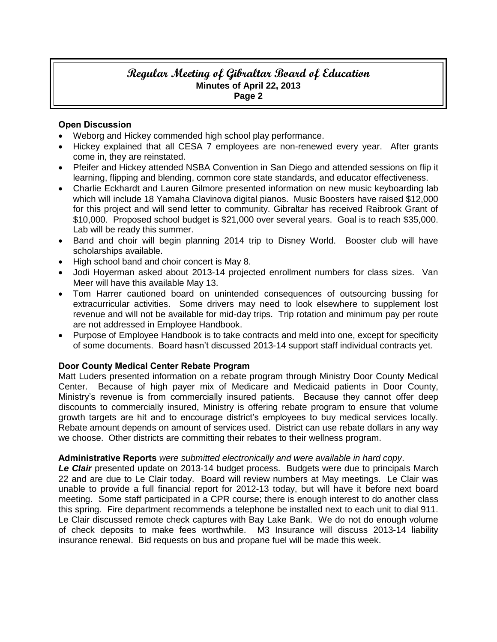### **Open Discussion**

- Weborg and Hickey commended high school play performance.
- Hickey explained that all CESA 7 employees are non-renewed every year. After grants come in, they are reinstated.
- Pfeifer and Hickey attended NSBA Convention in San Diego and attended sessions on flip it learning, flipping and blending, common core state standards, and educator effectiveness.
- Charlie Eckhardt and Lauren Gilmore presented information on new music keyboarding lab which will include 18 Yamaha Clavinova digital pianos. Music Boosters have raised \$12,000 for this project and will send letter to community. Gibraltar has received Raibrook Grant of \$10,000. Proposed school budget is \$21,000 over several years. Goal is to reach \$35,000. Lab will be ready this summer.
- Band and choir will begin planning 2014 trip to Disney World. Booster club will have scholarships available.
- High school band and choir concert is May 8.
- Jodi Hoyerman asked about 2013-14 projected enrollment numbers for class sizes. Van Meer will have this available May 13.
- Tom Harrer cautioned board on unintended consequences of outsourcing bussing for extracurricular activities. Some drivers may need to look elsewhere to supplement lost revenue and will not be available for mid-day trips. Trip rotation and minimum pay per route are not addressed in Employee Handbook.
- Purpose of Employee Handbook is to take contracts and meld into one, except for specificity of some documents. Board hasn't discussed 2013-14 support staff individual contracts yet.

# **Door County Medical Center Rebate Program**

Matt Luders presented information on a rebate program through Ministry Door County Medical Center. Because of high payer mix of Medicare and Medicaid patients in Door County, Ministry's revenue is from commercially insured patients. Because they cannot offer deep discounts to commercially insured, Ministry is offering rebate program to ensure that volume growth targets are hit and to encourage district's employees to buy medical services locally. Rebate amount depends on amount of services used. District can use rebate dollars in any way we choose. Other districts are committing their rebates to their wellness program.

# **Administrative Reports** *were submitted electronically and were available in hard copy*.

Le Clair presented update on 2013-14 budget process. Budgets were due to principals March 22 and are due to Le Clair today. Board will review numbers at May meetings. Le Clair was unable to provide a full financial report for 2012-13 today, but will have it before next board meeting. Some staff participated in a CPR course; there is enough interest to do another class this spring. Fire department recommends a telephone be installed next to each unit to dial 911. Le Clair discussed remote check captures with Bay Lake Bank. We do not do enough volume of check deposits to make fees worthwhile. M3 Insurance will discuss 2013-14 liability insurance renewal. Bid requests on bus and propane fuel will be made this week.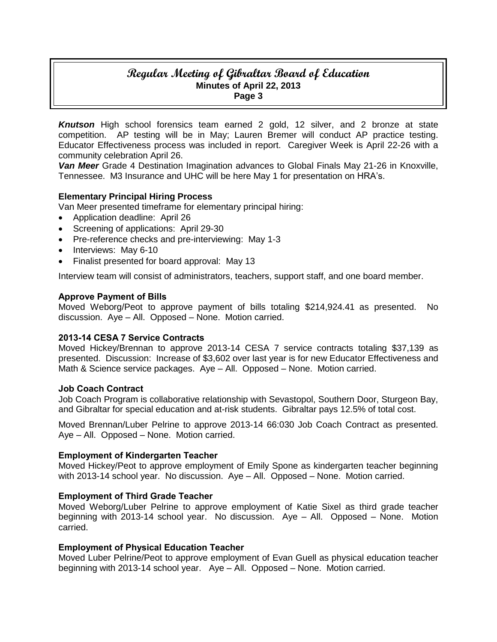*Knutson* High school forensics team earned 2 gold, 12 silver, and 2 bronze at state competition. AP testing will be in May; Lauren Bremer will conduct AP practice testing. Educator Effectiveness process was included in report. Caregiver Week is April 22-26 with a community celebration April 26.

*Van Meer* Grade 4 Destination Imagination advances to Global Finals May 21-26 in Knoxville, Tennessee. M3 Insurance and UHC will be here May 1 for presentation on HRA's.

# **Elementary Principal Hiring Process**

Van Meer presented timeframe for elementary principal hiring:

- Application deadline: April 26
- Screening of applications: April 29-30
- Pre-reference checks and pre-interviewing: May 1-3
- Interviews: May 6-10
- Finalist presented for board approval: May 13

Interview team will consist of administrators, teachers, support staff, and one board member.

#### **Approve Payment of Bills**

Moved Weborg/Peot to approve payment of bills totaling \$214,924.41 as presented. No discussion. Aye – All. Opposed – None. Motion carried.

#### **2013-14 CESA 7 Service Contracts**

Moved Hickey/Brennan to approve 2013-14 CESA 7 service contracts totaling \$37,139 as presented. Discussion: Increase of \$3,602 over last year is for new Educator Effectiveness and Math & Science service packages. Aye – All. Opposed – None. Motion carried.

#### **Job Coach Contract**

Job Coach Program is collaborative relationship with Sevastopol, Southern Door, Sturgeon Bay, and Gibraltar for special education and at-risk students. Gibraltar pays 12.5% of total cost.

Moved Brennan/Luber Pelrine to approve 2013-14 66:030 Job Coach Contract as presented. Aye – All. Opposed – None. Motion carried.

#### **Employment of Kindergarten Teacher**

Moved Hickey/Peot to approve employment of Emily Spone as kindergarten teacher beginning with 2013-14 school year. No discussion. Aye – All. Opposed – None. Motion carried.

#### **Employment of Third Grade Teacher**

Moved Weborg/Luber Pelrine to approve employment of Katie Sixel as third grade teacher beginning with 2013-14 school year. No discussion. Aye – All. Opposed – None. Motion carried.

#### **Employment of Physical Education Teacher**

Moved Luber Pelrine/Peot to approve employment of Evan Guell as physical education teacher beginning with 2013-14 school year. Aye – All. Opposed – None. Motion carried.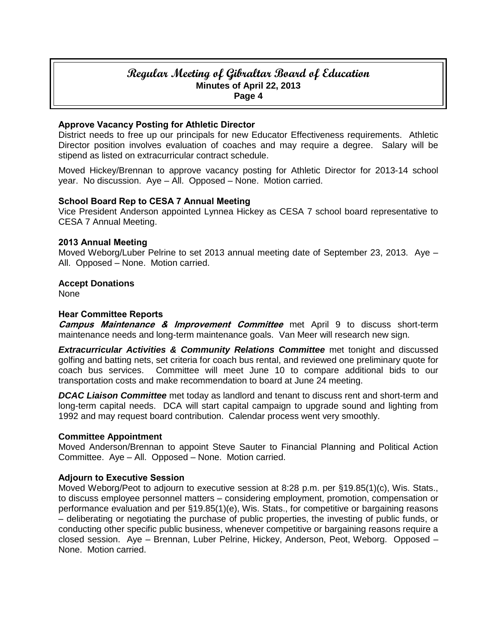#### **Approve Vacancy Posting for Athletic Director**

District needs to free up our principals for new Educator Effectiveness requirements. Athletic Director position involves evaluation of coaches and may require a degree. Salary will be stipend as listed on extracurricular contract schedule.

Moved Hickey/Brennan to approve vacancy posting for Athletic Director for 2013-14 school year. No discussion. Aye – All. Opposed – None. Motion carried.

#### **School Board Rep to CESA 7 Annual Meeting**

Vice President Anderson appointed Lynnea Hickey as CESA 7 school board representative to CESA 7 Annual Meeting.

#### **2013 Annual Meeting**

Moved Weborg/Luber Pelrine to set 2013 annual meeting date of September 23, 2013. Aye – All. Opposed – None. Motion carried.

# **Accept Donations**

None

#### **Hear Committee Reports**

**Campus Maintenance & Improvement Committee** met April 9 to discuss short-term maintenance needs and long-term maintenance goals. Van Meer will research new sign.

**Extracurricular Activities & Community Relations Committee** met tonight and discussed golfing and batting nets, set criteria for coach bus rental, and reviewed one preliminary quote for coach bus services. Committee will meet June 10 to compare additional bids to our transportation costs and make recommendation to board at June 24 meeting.

*DCAC Liaison Committee* met today as landlord and tenant to discuss rent and short-term and long-term capital needs. DCA will start capital campaign to upgrade sound and lighting from 1992 and may request board contribution. Calendar process went very smoothly.

#### **Committee Appointment**

Moved Anderson/Brennan to appoint Steve Sauter to Financial Planning and Political Action Committee. Aye – All. Opposed – None. Motion carried.

#### **Adjourn to Executive Session**

Moved Weborg/Peot to adjourn to executive session at 8:28 p.m. per §19.85(1)(c), Wis. Stats., to discuss employee personnel matters – considering employment, promotion, compensation or performance evaluation and per §19.85(1)(e), Wis. Stats., for competitive or bargaining reasons – deliberating or negotiating the purchase of public properties, the investing of public funds, or conducting other specific public business, whenever competitive or bargaining reasons require a closed session. Aye – Brennan, Luber Pelrine, Hickey, Anderson, Peot, Weborg. Opposed – None. Motion carried.